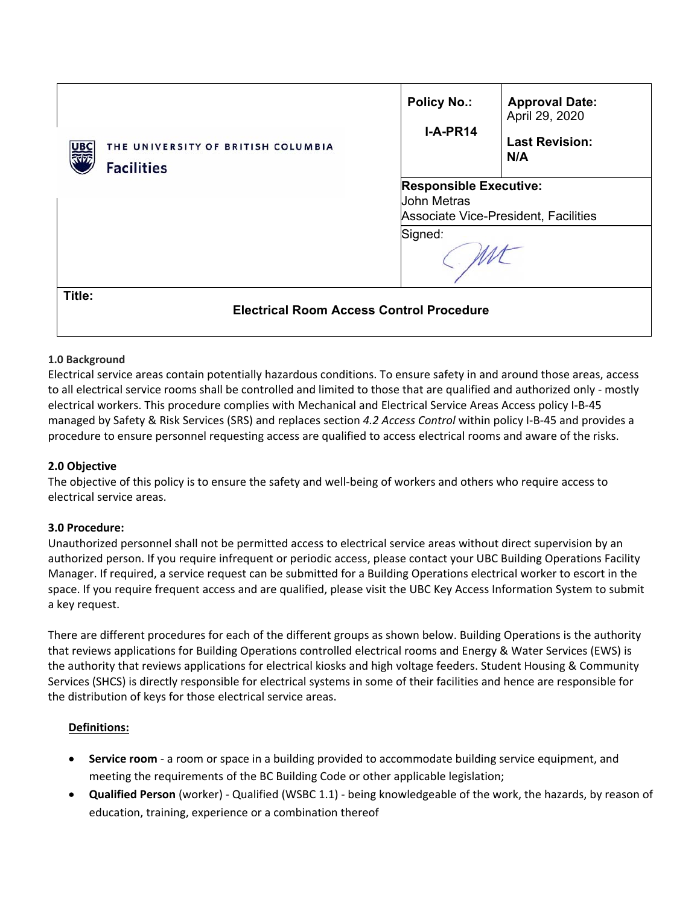| THE UNIVERSITY OF BRITISH COLUMBIA<br>UВ<br><b>Facilities</b> | <b>Policy No.:</b><br>$I-A-PR14$                                                            | <b>Approval Date:</b><br>April 29, 2020<br><b>Last Revision:</b><br>N/A |
|---------------------------------------------------------------|---------------------------------------------------------------------------------------------|-------------------------------------------------------------------------|
|                                                               | <b>Responsible Executive:</b><br><b>John Metras</b><br>Associate Vice-President, Facilities |                                                                         |
|                                                               | Signed:                                                                                     |                                                                         |
| Title:<br><b>Electrical Room Access Control Procedure</b>     |                                                                                             |                                                                         |

## **1.0 Background**

Electrical service areas contain potentially hazardous conditions. To ensure safety in and around those areas, access to all electrical service rooms shall be controlled and limited to those that are qualified and authorized only ‐ mostly electrical workers. This procedure complies with Mechanical and Electrical Service Areas Access policy I‐B‐45 managed by Safety & Risk Services (SRS) and replaces section *4.2 Access Control* within policy I‐B‐45 and provides a procedure to ensure personnel requesting access are qualified to access electrical rooms and aware of the risks.

### **2.0 Objective**

The objective of this policy is to ensure the safety and well‐being of workers and others who require access to electrical service areas.

### **3.0 Procedure:**

Unauthorized personnel shall not be permitted access to electrical service areas without direct supervision by an authorized person. If you require infrequent or periodic access, please contact your UBC Building Operations Facility Manager. If required, a service request can be submitted for a Building Operations electrical worker to escort in the space. If you require frequent access and are qualified, please visit the UBC Key Access Information System to submit a key request.

There are different procedures for each of the different groups as shown below. Building Operations is the authority that reviews applications for Building Operations controlled electrical rooms and Energy & Water Services (EWS) is the authority that reviews applications for electrical kiosks and high voltage feeders. Student Housing & Community Services (SHCS) is directly responsible for electrical systems in some of their facilities and hence are responsible for the distribution of keys for those electrical service areas.

### **Definitions:**

- **Service room** ‐ a room or space in a building provided to accommodate building service equipment, and meeting the requirements of the BC Building Code or other applicable legislation;
- **Qualified Person** (worker) ‐ Qualified (WSBC 1.1) ‐ being knowledgeable of the work, the hazards, by reason of education, training, experience or a combination thereof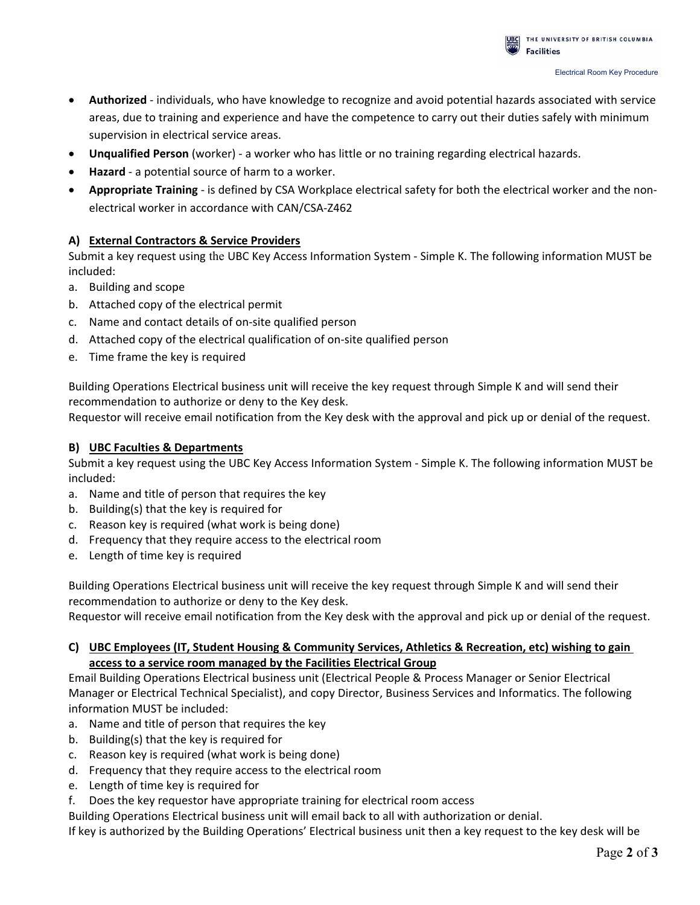- **Authorized** ‐ individuals, who have knowledge to recognize and avoid potential hazards associated with service areas, due to training and experience and have the competence to carry out their duties safely with minimum supervision in electrical service areas.
- **Unqualified Person** (worker) ‐ a worker who has little or no training regarding electrical hazards.
- **Hazard** ‐ a potential source of harm to a worker.
- **Appropriate Training** ‐ is defined by CSA Workplace electrical safety for both the electrical worker and the non‐ electrical worker in accordance with CAN/CSA‐Z462

## **A) External Contractors & Service Providers**

Submit a key request using the UBC Key Access Information System ‐ Simple K. The following information MUST be included:

- a. Building and scope
- b. Attached copy of the electrical permit
- c. Name and contact details of on‐site qualified person
- d. Attached copy of the electrical qualification of on‐site qualified person
- e. Time frame the key is required

Building Operations Electrical business unit will receive the key request through Simple K and will send their recommendation to authorize or deny to the Key desk.

Requestor will receive email notification from the Key desk with the approval and pick up or denial of the request.

## **B) UBC Faculties & Departments**

Submit a key request using the UBC Key Access Information System ‐ Simple K. The following information MUST be included:

- a. Name and title of person that requires the key
- b. Building(s) that the key is required for
- c. Reason key is required (what work is being done)
- d. Frequency that they require access to the electrical room
- e. Length of time key is required

Building Operations Electrical business unit will receive the key request through Simple K and will send their recommendation to authorize or deny to the Key desk.

Requestor will receive email notification from the Key desk with the approval and pick up or denial of the request.

## **C) UBC Employees (IT, Student Housing & Community Services, Athletics & Recreation, etc) wishing to gain access to a service room managed by the Facilities Electrical Group**

Email Building Operations Electrical business unit (Electrical People & Process Manager or Senior Electrical Manager or Electrical Technical Specialist), and copy Director, Business Services and Informatics. The following information MUST be included:

- a. Name and title of person that requires the key
- b. Building(s) that the key is required for
- c. Reason key is required (what work is being done)
- d. Frequency that they require access to the electrical room
- e. Length of time key is required for
- f. Does the key requestor have appropriate training for electrical room access

Building Operations Electrical business unit will email back to all with authorization or denial.

If key is authorized by the Building Operations' Electrical business unit then a key request to the key desk will be